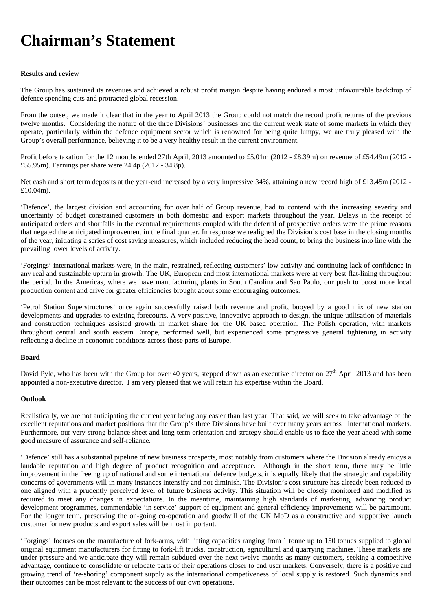## **Chairman's Statement**

### **Results and review**

The Group has sustained its revenues and achieved a robust profit margin despite having endured a most unfavourable backdrop of defence spending cuts and protracted global recession.

From the outset, we made it clear that in the year to April 2013 the Group could not match the record profit returns of the previous twelve months. Considering the nature of the three Divisions' businesses and the current weak state of some markets in which they operate, particularly within the defence equipment sector which is renowned for being quite lumpy, we are truly pleased with the Group's overall performance, believing it to be a very healthy result in the current environment.

Profit before taxation for the 12 months ended 27th April, 2013 amounted to £5.01m (2012 - £8.39m) on revenue of *£*54.49m (2012 - £55.95m). Earnings per share were 24.4p (2012 - 34.8p).

Net cash and short term deposits at the year-end increased by a very impressive 34%, attaining a new record high of £13.45m (2012 -£10.04m).

'Defence', the largest division and accounting for over half of Group revenue, had to contend with the increasing severity and uncertainty of budget constrained customers in both domestic and export markets throughout the year. Delays in the receipt of anticipated orders and shortfalls in the eventual requirements coupled with the deferral of prospective orders were the prime reasons that negated the anticipated improvement in the final quarter. In response we realigned the Division's cost base in the closing months of the year, initiating a series of cost saving measures, which included reducing the head count, to bring the business into line with the prevailing lower levels of activity.

'Forgings' international markets were, in the main, restrained, reflecting customers' low activity and continuing lack of confidence in any real and sustainable upturn in growth. The UK, European and most international markets were at very best flat-lining throughout the period. In the Americas, where we have manufacturing plants in South Carolina and Sao Paulo, our push to boost more local production content and drive for greater efficiencies brought about some encouraging outcomes.

'Petrol Station Superstructures' once again successfully raised both revenue and profit, buoyed by a good mix of new station developments and upgrades to existing forecourts. A very positive, innovative approach to design, the unique utilisation of materials and construction techniques assisted growth in market share for the UK based operation. The Polish operation, with markets throughout central and south eastern Europe, performed well, but experienced some progressive general tightening in activity reflecting a decline in economic conditions across those parts of Europe.

#### **Board**

David Pyle, who has been with the Group for over 40 years, stepped down as an executive director on 27<sup>th</sup> April 2013 and has been appointed a non-executive director. I am very pleased that we will retain his expertise within the Board.

#### **Outlook**

Realistically, we are not anticipating the current year being any easier than last year. That said, we will seek to take advantage of the excellent reputations and market positions that the Group's three Divisions have built over many years across international markets. Furthermore, our very strong balance sheet and long term orientation and strategy should enable us to face the year ahead with some good measure of assurance and self-reliance.

'Defence' still has a substantial pipeline of new business prospects, most notably from customers where the Division already enjoys a laudable reputation and high degree of product recognition and acceptance. Although in the short term, there may be little improvement in the freeing up of national and some international defence budgets, it is equally likely that the strategic and capability concerns of governments will in many instances intensify and not diminish. The Division's cost structure has already been reduced to one aligned with a prudently perceived level of future business activity. This situation will be closely monitored and modified as required to meet any changes in expectations. In the meantime, maintaining high standards of marketing, advancing product development programmes, commendable 'in service' support of equipment and general efficiency improvements will be paramount. For the longer term, preserving the on-going co-operation and goodwill of the UK MoD as a constructive and supportive launch customer for new products and export sales will be most important.

'Forgings' focuses on the manufacture of fork-arms, with lifting capacities ranging from 1 tonne up to 150 tonnes supplied to global original equipment manufacturers for fitting to fork-lift trucks, construction, agricultural and quarrying machines. These markets are under pressure and we anticipate they will remain subdued over the next twelve months as many customers, seeking a competitive advantage, continue to consolidate or relocate parts of their operations closer to end user markets. Conversely, there is a positive and growing trend of 're-shoring' component supply as the international competiveness of local supply is restored. Such dynamics and their outcomes can be most relevant to the success of our own operations.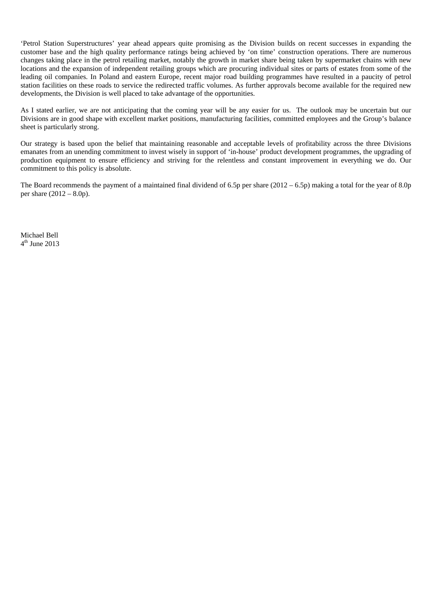'Petrol Station Superstructures' year ahead appears quite promising as the Division builds on recent successes in expanding the customer base and the high quality performance ratings being achieved by 'on time' construction operations. There are numerous changes taking place in the petrol retailing market, notably the growth in market share being taken by supermarket chains with new locations and the expansion of independent retailing groups which are procuring individual sites or parts of estates from some of the leading oil companies. In Poland and eastern Europe, recent major road building programmes have resulted in a paucity of petrol station facilities on these roads to service the redirected traffic volumes. As further approvals become available for the required new developments, the Division is well placed to take advantage of the opportunities.

As I stated earlier, we are not anticipating that the coming year will be any easier for us. The outlook may be uncertain but our Divisions are in good shape with excellent market positions, manufacturing facilities, committed employees and the Group's balance sheet is particularly strong.

Our strategy is based upon the belief that maintaining reasonable and acceptable levels of profitability across the three Divisions emanates from an unending commitment to invest wisely in support of 'in-house' product development programmes, the upgrading of production equipment to ensure efficiency and striving for the relentless and constant improvement in everything we do. Our commitment to this policy is absolute.

The Board recommends the payment of a maintained final dividend of 6.5p per share (2012 – 6.5p) making a total for the year of 8.0p per share  $(2012 - 8.0p)$ .

Michael Bell  $4<sup>th</sup>$  June 2013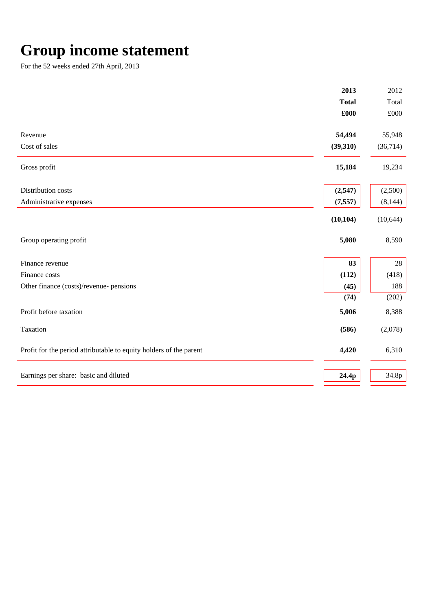## **Group income statement**

For the 52 weeks ended 27th April, 2013

| <b>Total</b><br>Total<br>$\pounds000$<br>£000<br>54,494<br>Revenue<br>55,948<br>Cost of sales<br>(39,310)<br>(36,714)<br>Gross profit<br>15,184<br>19,234<br>(2,547)<br>(2,500)<br>Distribution costs<br>Administrative expenses<br>(7, 557)<br>(8, 144)<br>(10, 104)<br>(10, 644)<br>5,080<br>8,590<br>Group operating profit<br>28<br>83<br>Finance revenue<br>Finance costs<br>(418)<br>(112)<br>Other finance (costs)/revenue- pensions<br>188<br>(45)<br>(74)<br>(202)<br>Profit before taxation<br>5,006<br>8,388<br>Taxation<br>(586)<br>(2,078)<br>Profit for the period attributable to equity holders of the parent<br>6,310<br>4,420<br>34.8p<br>Earnings per share: basic and diluted<br>24.4p | 2013 | 2012 |
|------------------------------------------------------------------------------------------------------------------------------------------------------------------------------------------------------------------------------------------------------------------------------------------------------------------------------------------------------------------------------------------------------------------------------------------------------------------------------------------------------------------------------------------------------------------------------------------------------------------------------------------------------------------------------------------------------------|------|------|
|                                                                                                                                                                                                                                                                                                                                                                                                                                                                                                                                                                                                                                                                                                            |      |      |
|                                                                                                                                                                                                                                                                                                                                                                                                                                                                                                                                                                                                                                                                                                            |      |      |
|                                                                                                                                                                                                                                                                                                                                                                                                                                                                                                                                                                                                                                                                                                            |      |      |
|                                                                                                                                                                                                                                                                                                                                                                                                                                                                                                                                                                                                                                                                                                            |      |      |
|                                                                                                                                                                                                                                                                                                                                                                                                                                                                                                                                                                                                                                                                                                            |      |      |
|                                                                                                                                                                                                                                                                                                                                                                                                                                                                                                                                                                                                                                                                                                            |      |      |
|                                                                                                                                                                                                                                                                                                                                                                                                                                                                                                                                                                                                                                                                                                            |      |      |
|                                                                                                                                                                                                                                                                                                                                                                                                                                                                                                                                                                                                                                                                                                            |      |      |
|                                                                                                                                                                                                                                                                                                                                                                                                                                                                                                                                                                                                                                                                                                            |      |      |
|                                                                                                                                                                                                                                                                                                                                                                                                                                                                                                                                                                                                                                                                                                            |      |      |
|                                                                                                                                                                                                                                                                                                                                                                                                                                                                                                                                                                                                                                                                                                            |      |      |
|                                                                                                                                                                                                                                                                                                                                                                                                                                                                                                                                                                                                                                                                                                            |      |      |
|                                                                                                                                                                                                                                                                                                                                                                                                                                                                                                                                                                                                                                                                                                            |      |      |
|                                                                                                                                                                                                                                                                                                                                                                                                                                                                                                                                                                                                                                                                                                            |      |      |
|                                                                                                                                                                                                                                                                                                                                                                                                                                                                                                                                                                                                                                                                                                            |      |      |
|                                                                                                                                                                                                                                                                                                                                                                                                                                                                                                                                                                                                                                                                                                            |      |      |
|                                                                                                                                                                                                                                                                                                                                                                                                                                                                                                                                                                                                                                                                                                            |      |      |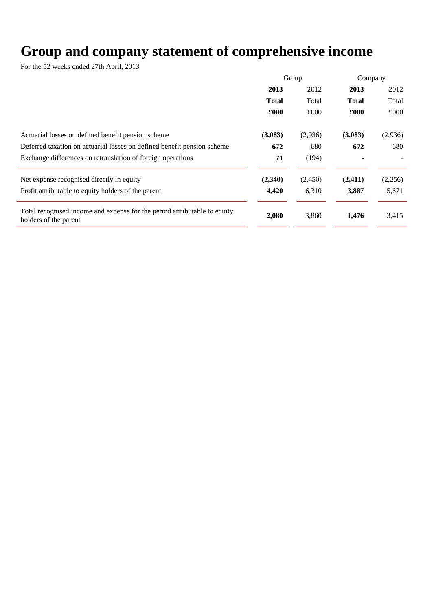### **Group and company statement of comprehensive income**

For the 52 weeks ended 27th April, 2013

|                                                                                                    | Group        |         | Company      |         |
|----------------------------------------------------------------------------------------------------|--------------|---------|--------------|---------|
|                                                                                                    | 2013         | 2012    | 2013         | 2012    |
|                                                                                                    | <b>Total</b> | Total   | <b>Total</b> | Total   |
|                                                                                                    | £000         | £000    | £000         | £000    |
| Actuarial losses on defined benefit pension scheme                                                 | (3,083)      | (2,936) | (3,083)      | (2,936) |
| Deferred taxation on actuarial losses on defined benefit pension scheme                            | 672          | 680     | 672          | 680     |
| Exchange differences on retranslation of foreign operations                                        | 71           | (194)   |              |         |
| Net expense recognised directly in equity                                                          | (2,340)      | (2,450) | (2,411)      | (2,256) |
| Profit attributable to equity holders of the parent                                                | 4,420        | 6,310   | 3,887        | 5,671   |
| Total recognised income and expense for the period attributable to equity<br>holders of the parent | 2,080        | 3,860   | 1,476        | 3,415   |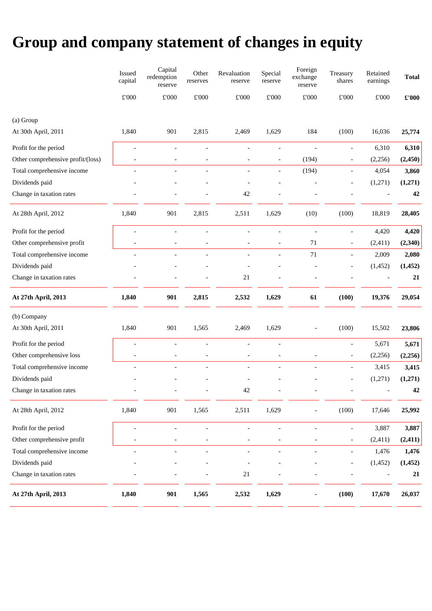# **Group and company statement of changes in equity**

|                                   | Issued<br>capital | Capital<br>redemption<br>reserve | Other<br>reserves | Revaluation<br>reserve   | Special<br>reserve       | Foreign<br>exchange<br>reserve | Treasury<br>shares           | Retained<br>earnings | <b>Total</b>  |
|-----------------------------------|-------------------|----------------------------------|-------------------|--------------------------|--------------------------|--------------------------------|------------------------------|----------------------|---------------|
|                                   | $\pounds 000$     | $\pounds 000$                    | $\pounds 000$     | $\pounds 000$            | $\pounds 000$            | $\pounds 000$                  | $\pounds 000$                | $\pounds 000$        | $\pounds 000$ |
| (a) Group                         |                   |                                  |                   |                          |                          |                                |                              |                      |               |
| At 30th April, 2011               | 1,840             | 901                              | 2,815             | 2,469                    | 1,629                    | 184                            | (100)                        | 16,036               | 25,774        |
| Profit for the period             | $\overline{a}$    | $\overline{a}$                   |                   |                          | $\overline{a}$           | $\overline{a}$                 | $\overline{a}$               | 6,310                | 6,310         |
| Other comprehensive profit/(loss) |                   |                                  |                   |                          | $\overline{\phantom{0}}$ | (194)                          | $\overline{\phantom{a}}$     | (2,256)              | (2, 450)      |
| Total comprehensive income        |                   | $\overline{a}$                   |                   |                          | $\overline{\phantom{a}}$ | (194)                          | $\overline{\phantom{0}}$     | 4,054                | 3,860         |
| Dividends paid                    |                   |                                  |                   |                          |                          |                                | $\overline{\phantom{0}}$     | (1,271)              | (1,271)       |
| Change in taxation rates          |                   |                                  |                   | 42                       |                          |                                |                              |                      | 42            |
| At 28th April, 2012               | 1,840             | 901                              | 2,815             | 2,511                    | 1,629                    | (10)                           | (100)                        | 18,819               | 28,405        |
| Profit for the period             |                   |                                  |                   |                          | $\overline{a}$           | $\overline{a}$                 | $\qquad \qquad \blacksquare$ | 4,420                | 4,420         |
| Other comprehensive profit        |                   |                                  |                   | $\overline{\phantom{0}}$ | $\overline{\phantom{a}}$ | 71                             | $\overline{\phantom{a}}$     | (2, 411)             | (2,340)       |
| Total comprehensive income        |                   |                                  |                   |                          | $\overline{a}$           | $71\,$                         | $\overline{\phantom{0}}$     | 2,009                | 2,080         |
| Dividends paid                    |                   |                                  |                   |                          |                          |                                |                              | (1, 452)             | (1, 452)      |
| Change in taxation rates          |                   |                                  |                   | 21                       |                          |                                |                              |                      | 21            |
| At 27th April, 2013               | 1,840             | 901                              | 2,815             | 2,532                    | 1,629                    | 61                             | (100)                        | 19,376               | 29,054        |
| (b) Company                       |                   |                                  |                   |                          |                          |                                |                              |                      |               |
| At 30th April, 2011               | 1,840             | 901                              | 1,565             | 2,469                    | 1,629                    |                                | (100)                        | 15,502               | 23,806        |
| Profit for the period             |                   |                                  |                   |                          | ÷,                       |                                | L                            | 5,671                | 5,671         |
| Other comprehensive loss          |                   | $\overline{a}$                   | $\overline{a}$    | $\overline{\phantom{a}}$ | $\overline{a}$           |                                | $\overline{\phantom{a}}$     | (2,256)              | (2,256)       |
| Total comprehensive income        |                   |                                  |                   |                          |                          |                                | $\qquad \qquad \blacksquare$ | 3,415                | 3,415         |
| Dividends paid                    |                   |                                  |                   |                          |                          |                                | L,                           | (1,271)              | (1,271)       |
| Change in taxation rates          |                   |                                  |                   | 42                       |                          |                                |                              |                      | 42            |
| At 28th April, 2012               | 1,840             | 901                              | 1,565             | 2,511                    | 1,629                    |                                | (100)                        | 17,646               | 25,992        |
| Profit for the period             |                   |                                  |                   |                          |                          |                                | $\overline{\phantom{0}}$     | 3,887                | 3,887         |
| Other comprehensive profit        |                   |                                  |                   |                          |                          |                                |                              | (2, 411)             | (2, 411)      |
| Total comprehensive income        |                   |                                  |                   |                          |                          |                                | $\overline{\phantom{a}}$     | 1,476                | 1,476         |
| Dividends paid                    |                   |                                  |                   |                          |                          |                                | $\qquad \qquad -$            | (1, 452)             | (1, 452)      |
| Change in taxation rates          |                   |                                  |                   | $21\,$                   |                          |                                |                              |                      | 21            |
| At 27th April, 2013               | 1,840             | 901                              | 1,565             | 2,532                    | 1,629                    |                                | (100)                        | 17,670               | 26,037        |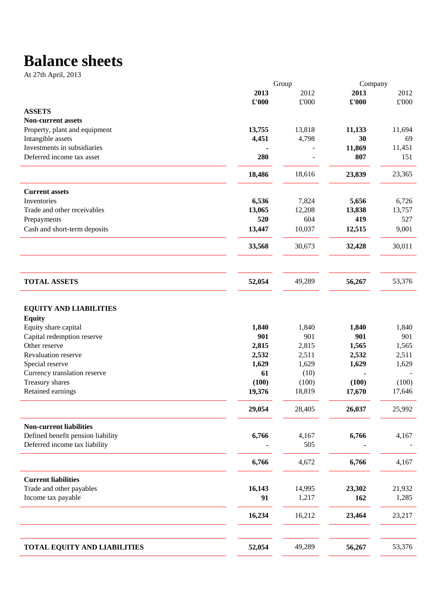### **Balance sheets**

At 27th April, 2013

|                                                                                                                                                                  | Group                                                  |                                                          |                                                  | Company                                          |  |
|------------------------------------------------------------------------------------------------------------------------------------------------------------------|--------------------------------------------------------|----------------------------------------------------------|--------------------------------------------------|--------------------------------------------------|--|
|                                                                                                                                                                  | 2013                                                   | 2012                                                     | 2013                                             | 2012                                             |  |
|                                                                                                                                                                  | £'000                                                  | $\pounds 000$                                            | £'000                                            | $\pounds 000$                                    |  |
| <b>ASSETS</b>                                                                                                                                                    |                                                        |                                                          |                                                  |                                                  |  |
| <b>Non-current assets</b>                                                                                                                                        |                                                        |                                                          |                                                  |                                                  |  |
| Property, plant and equipment                                                                                                                                    | 13,755                                                 | 13,818                                                   | 11,133                                           | 11,694                                           |  |
| Intangible assets<br>Investments in subsidiaries                                                                                                                 | 4,451                                                  | 4,798                                                    | 30                                               | 69                                               |  |
| Deferred income tax asset                                                                                                                                        | 280                                                    |                                                          | 11,869<br>807                                    | 11,451<br>151                                    |  |
|                                                                                                                                                                  |                                                        |                                                          |                                                  |                                                  |  |
|                                                                                                                                                                  | 18,486                                                 | 18,616                                                   | 23,839                                           | 23,365                                           |  |
| <b>Current assets</b>                                                                                                                                            |                                                        |                                                          |                                                  |                                                  |  |
| Inventories                                                                                                                                                      | 6,536                                                  | 7,824                                                    | 5,656                                            | 6,726                                            |  |
| Trade and other receivables                                                                                                                                      | 13,065                                                 | 12,208                                                   | 13,838                                           | 13,757                                           |  |
| Prepayments                                                                                                                                                      | 520                                                    | 604                                                      | 419                                              | 527                                              |  |
| Cash and short-term deposits                                                                                                                                     | 13,447                                                 | 10,037                                                   | 12,515                                           | 9,001                                            |  |
|                                                                                                                                                                  | 33,568                                                 | 30,673                                                   | 32,428                                           | 30,011                                           |  |
| <b>TOTAL ASSETS</b>                                                                                                                                              | 52,054                                                 | 49,289                                                   | 56,267                                           | 53,376                                           |  |
| Equity share capital<br>Capital redemption reserve<br>Other reserve<br>Revaluation reserve<br>Special reserve<br>Currency translation reserve<br>Treasury shares | 1,840<br>901<br>2,815<br>2,532<br>1,629<br>61<br>(100) | 1,840<br>901<br>2,815<br>2,511<br>1,629<br>(10)<br>(100) | 1,840<br>901<br>1,565<br>2,532<br>1,629<br>(100) | 1,840<br>901<br>1,565<br>2,511<br>1,629<br>(100) |  |
| Retained earnings                                                                                                                                                | 19,376                                                 | 18,819                                                   | 17,670                                           | 17,646                                           |  |
|                                                                                                                                                                  | 29,054                                                 | 28,405                                                   | 26,037                                           | 25,992                                           |  |
| <b>Non-current liabilities</b>                                                                                                                                   |                                                        |                                                          |                                                  |                                                  |  |
| Defined benefit pension liability                                                                                                                                | 6,766                                                  | 4,167                                                    | 6,766                                            | 4,167                                            |  |
| Deferred income tax liability                                                                                                                                    |                                                        | 505                                                      |                                                  |                                                  |  |
|                                                                                                                                                                  | 6,766                                                  | 4,672                                                    | 6,766                                            | 4,167                                            |  |
| <b>Current liabilities</b>                                                                                                                                       |                                                        |                                                          |                                                  |                                                  |  |
| Trade and other payables                                                                                                                                         | 16,143                                                 | 14,995                                                   | 23,302                                           | 21,932                                           |  |
| Income tax payable                                                                                                                                               | 91                                                     | 1,217                                                    | 162                                              | 1,285                                            |  |
|                                                                                                                                                                  | 16,234                                                 | 16,212                                                   | 23,464                                           | 23,217                                           |  |
| TOTAL EQUITY AND LIABILITIES                                                                                                                                     | 52,054                                                 | 49,289                                                   | 56,267                                           | 53,376                                           |  |
|                                                                                                                                                                  |                                                        |                                                          |                                                  |                                                  |  |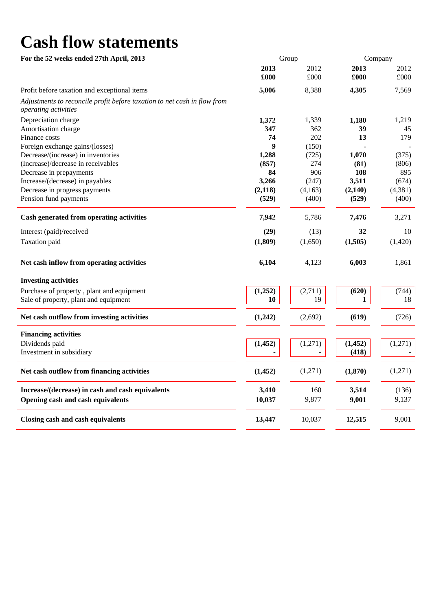# **Cash flow statements**

| For the 52 weeks ended 27th April, 2013                                                          |          | Group   | Company  |              |  |
|--------------------------------------------------------------------------------------------------|----------|---------|----------|--------------|--|
|                                                                                                  | 2013     | 2012    | 2013     | 2012         |  |
|                                                                                                  | £000     | £000    | £000     | $\pounds000$ |  |
| Profit before taxation and exceptional items                                                     | 5,006    | 8,388   | 4,305    | 7,569        |  |
| Adjustments to reconcile profit before taxation to net cash in flow from<br>operating activities |          |         |          |              |  |
| Depreciation charge                                                                              | 1,372    | 1,339   | 1,180    | 1,219        |  |
| Amortisation charge                                                                              | 347      | 362     | 39       | 45           |  |
| Finance costs                                                                                    | 74       | 202     | 13       | 179          |  |
| Foreign exchange gains/(losses)                                                                  | 9        | (150)   |          |              |  |
| Decrease/(increase) in inventories                                                               | 1,288    | (725)   | 1,070    | (375)        |  |
| (Increase)/decrease in receivables                                                               | (857)    | 274     | (81)     | (806)        |  |
| Decrease in prepayments                                                                          | 84       | 906     | 108      | 895          |  |
| Increase/(decrease) in payables                                                                  | 3,266    | (247)   | 3,511    | (674)        |  |
| Decrease in progress payments                                                                    | (2,118)  | (4,163) | (2,140)  | (4, 381)     |  |
| Pension fund payments                                                                            | (529)    | (400)   | (529)    | (400)        |  |
| Cash generated from operating activities                                                         | 7,942    | 5,786   | 7,476    | 3,271        |  |
| Interest (paid)/received                                                                         | (29)     | (13)    | 32       | 10           |  |
| Taxation paid                                                                                    | (1,809)  | (1,650) | (1,505)  | (1,420)      |  |
| Net cash inflow from operating activities                                                        | 6,104    | 4,123   | 6,003    | 1,861        |  |
| <b>Investing activities</b>                                                                      |          |         |          |              |  |
| Purchase of property, plant and equipment                                                        | (1,252)  | (2,711) | (620)    | (744)        |  |
| Sale of property, plant and equipment                                                            | 10       | 19      | 1        | 18           |  |
| Net cash outflow from investing activities                                                       | (1,242)  | (2,692) | (619)    | (726)        |  |
| <b>Financing activities</b>                                                                      |          |         |          |              |  |
| Dividends paid                                                                                   | (1, 452) | (1,271) | (1, 452) | (1,271)      |  |
| Investment in subsidiary                                                                         |          |         | (418)    |              |  |
| Net cash outflow from financing activities                                                       | (1, 452) | (1,271) | (1,870)  | (1,271)      |  |
| Increase/(decrease) in cash and cash equivalents                                                 | 3,410    | 160     | 3,514    | (136)        |  |
| Opening cash and cash equivalents                                                                | 10,037   | 9,877   | 9,001    | 9,137        |  |
| Closing cash and cash equivalents                                                                | 13,447   | 10,037  | 12,515   | 9,001        |  |
|                                                                                                  |          |         |          |              |  |